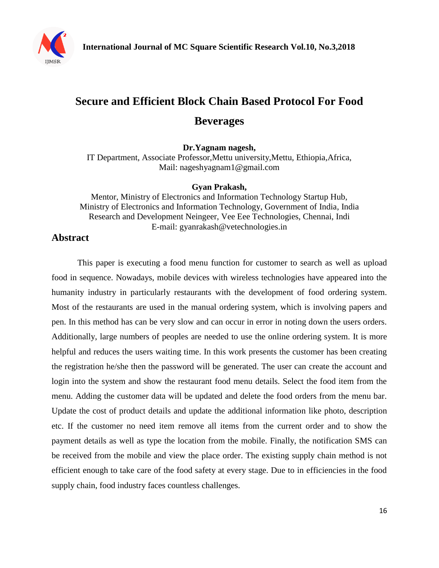

# **Secure and Efficient Block Chain Based Protocol For Food Beverages**

**Dr.Yagnam nagesh,**

IT Department, Associate Professor,Mettu university,Mettu, Ethiopia,Africa, Mail: [nageshyagnam1@gmail.com](mailto:nageshyagnam1@gmail.com)

#### **Gyan Prakash,**

Mentor, Ministry of Electronics and Information Technology Startup Hub, Ministry of Electronics and Information Technology, Government of India, India Research and Development Neingeer, Vee Eee Technologies, Chennai, Indi E-mail: gyanrakash@vetechnologies.in

## **Abstract**

This paper is executing a food menu function for customer to search as well as upload food in sequence. Nowadays, mobile devices with wireless technologies have appeared into the humanity industry in particularly restaurants with the development of food ordering system. Most of the restaurants are used in the manual ordering system, which is involving papers and pen. In this method has can be very slow and can occur in error in noting down the users orders. Additionally, large numbers of peoples are needed to use the online ordering system. It is more helpful and reduces the users waiting time. In this work presents the customer has been creating the registration he/she then the password will be generated. The user can create the account and login into the system and show the restaurant food menu details. Select the food item from the menu. Adding the customer data will be updated and delete the food orders from the menu bar. Update the cost of product details and update the additional information like photo, description etc. If the customer no need item remove all items from the current order and to show the payment details as well as type the location from the mobile. Finally, the notification SMS can be received from the mobile and view the place order. The existing supply chain method is not efficient enough to take care of the food safety at every stage. Due to in efficiencies in the food supply chain, food industry faces countless challenges.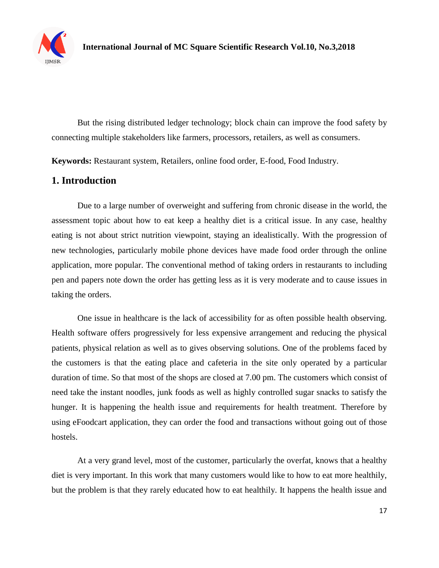

But the rising distributed ledger technology; block chain can improve the food safety by connecting multiple stakeholders like farmers, processors, retailers, as well as consumers.

**Keywords:** Restaurant system, Retailers, online food order, E-food, Food Industry.

## **1. Introduction**

Due to a large number of overweight and suffering from chronic disease in the world, the assessment topic about how to eat keep a healthy diet is a critical issue. In any case, healthy eating is not about strict nutrition viewpoint, staying an idealistically. With the progression of new technologies, particularly mobile phone devices have made food order through the online application, more popular. The conventional method of taking orders in restaurants to including pen and papers note down the order has getting less as it is very moderate and to cause issues in taking the orders.

One issue in healthcare is the lack of accessibility for as often possible health observing. Health software offers progressively for less expensive arrangement and reducing the physical patients, physical relation as well as to gives observing solutions. One of the problems faced by the customers is that the eating place and cafeteria in the site only operated by a particular duration of time. So that most of the shops are closed at 7.00 pm. The customers which consist of need take the instant noodles, junk foods as well as highly controlled sugar snacks to satisfy the hunger. It is happening the health issue and requirements for health treatment. Therefore by using eFoodcart application, they can order the food and transactions without going out of those hostels.

At a very grand level, most of the customer, particularly the overfat, knows that a healthy diet is very important. In this work that many customers would like to how to eat more healthily, but the problem is that they rarely educated how to eat healthily. It happens the health issue and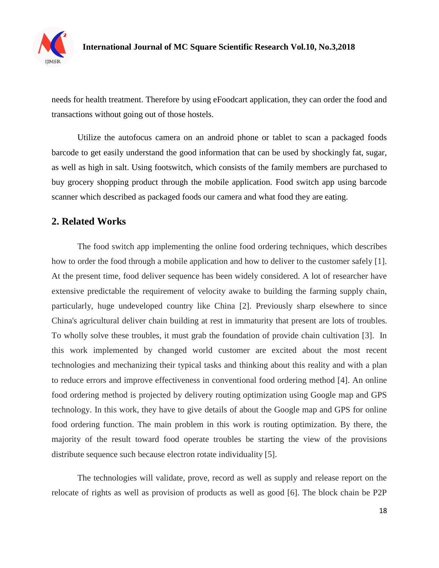

needs for health treatment. Therefore by using eFoodcart application, they can order the food and transactions without going out of those hostels.

Utilize the autofocus camera on an android phone or tablet to scan a packaged foods barcode to get easily understand the good information that can be used by shockingly fat, sugar, as well as high in salt. Using footswitch, which consists of the family members are purchased to buy grocery shopping product through the mobile application. Food switch app using barcode scanner which described as packaged foods our camera and what food they are eating.

## **2. Related Works**

The food switch app implementing the online food ordering techniques, which describes how to order the food through a mobile application and how to deliver to the customer safely [1]. At the present time, food deliver sequence has been widely considered. A lot of researcher have extensive predictable the requirement of velocity awake to building the farming supply chain, particularly, huge undeveloped country like China [2]. Previously sharp elsewhere to since China's agricultural deliver chain building at rest in immaturity that present are lots of troubles. To wholly solve these troubles, it must grab the foundation of provide chain cultivation [3]. In this work implemented by changed world customer are excited about the most recent technologies and mechanizing their typical tasks and thinking about this reality and with a plan to reduce errors and improve effectiveness in conventional food ordering method [4]. An online food ordering method is projected by delivery routing optimization using Google map and GPS technology. In this work, they have to give details of about the Google map and GPS for online food ordering function. The main problem in this work is routing optimization. By there, the majority of the result toward food operate troubles be starting the view of the provisions distribute sequence such because electron rotate individuality [5].

The technologies will validate, prove, record as well as supply and release report on the relocate of rights as well as provision of products as well as good [6]. The block chain be P2P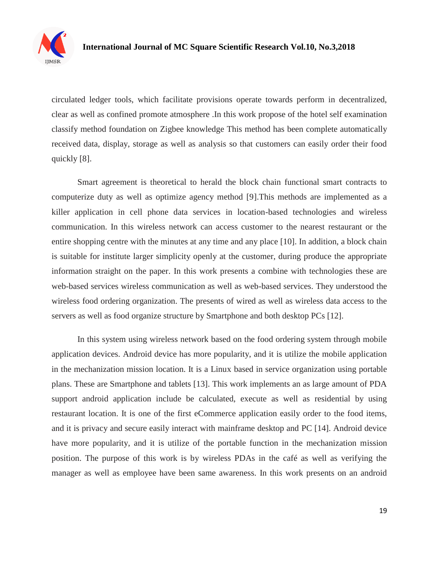

circulated ledger tools, which facilitate provisions operate towards perform in decentralized, clear as well as confined promote atmosphere .In this work propose of the hotel self examination classify method foundation on Zigbee knowledge This method has been complete automatically received data, display, storage as well as analysis so that customers can easily order their food quickly [8].

Smart agreement is theoretical to herald the block chain functional smart contracts to computerize duty as well as optimize agency method [9].This methods are implemented as a killer application in cell phone data services in location-based technologies and wireless communication. In this wireless network can access customer to the nearest restaurant or the entire shopping centre with the minutes at any time and any place [10]. In addition, a block chain is suitable for institute larger simplicity openly at the customer, during produce the appropriate information straight on the paper. In this work presents a combine with technologies these are web-based services wireless communication as well as web-based services. They understood the wireless food ordering organization. The presents of wired as well as wireless data access to the servers as well as food organize structure by Smartphone and both desktop PCs [12].

In this system using wireless network based on the food ordering system through mobile application devices. Android device has more popularity, and it is utilize the mobile application in the mechanization mission location. It is a Linux based in service organization using portable plans. These are Smartphone and tablets [13]. This work implements an as large amount of PDA support android application include be calculated, execute as well as residential by using restaurant location. It is one of the first eCommerce application easily order to the food items, and it is privacy and secure easily interact with mainframe desktop and PC [14]. Android device have more popularity, and it is utilize of the portable function in the mechanization mission position. The purpose of this work is by wireless PDAs in the café as well as verifying the manager as well as employee have been same awareness. In this work presents on an android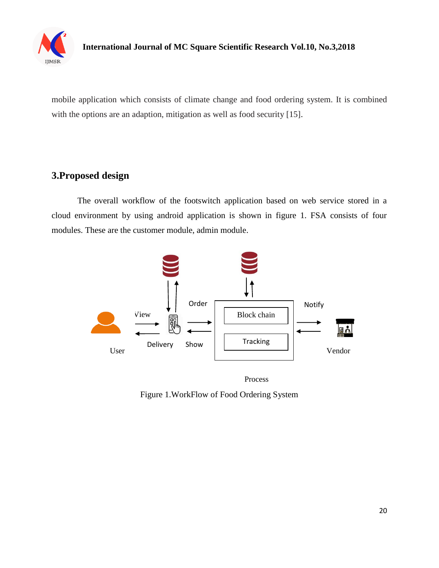

mobile application which consists of climate change and food ordering system. It is combined with the options are an adaption, mitigation as well as food security [15].

# **3.Proposed design**

The overall workflow of the footswitch application based on web service stored in a cloud environment by using android application is shown in figure 1. FSA consists of four modules. These are the customer module, admin module.



Process

Figure 1.WorkFlow of Food Ordering System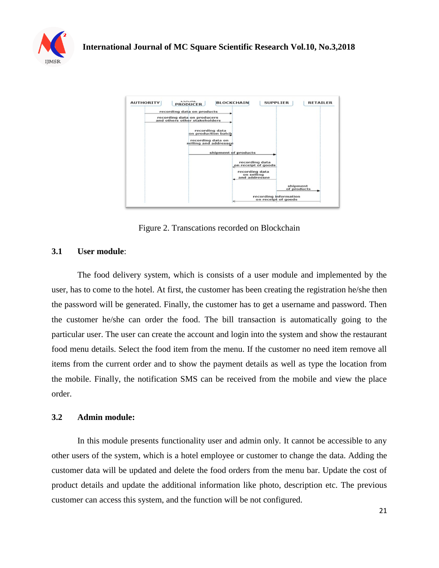



Figure 2. Transcations recorded on Blockchain

#### **3.1 User module**:

The food delivery system, which is consists of a user module and implemented by the user, has to come to the hotel. At first, the customer has been creating the registration he/she then the password will be generated. Finally, the customer has to get a username and password. Then the customer he/she can order the food. The bill transaction is automatically going to the particular user. The user can create the account and login into the system and show the restaurant food menu details. Select the food item from the menu. If the customer no need item remove all items from the current order and to show the payment details as well as type the location from the mobile. Finally, the notification SMS can be received from the mobile and view the place order.

#### **3.2 Admin module:**

In this module presents functionality user and admin only. It cannot be accessible to any other users of the system, which is a hotel employee or customer to change the data. Adding the customer data will be updated and delete the food orders from the menu bar. Update the cost of product details and update the additional information like photo, description etc. The previous customer can access this system, and the function will be not configured.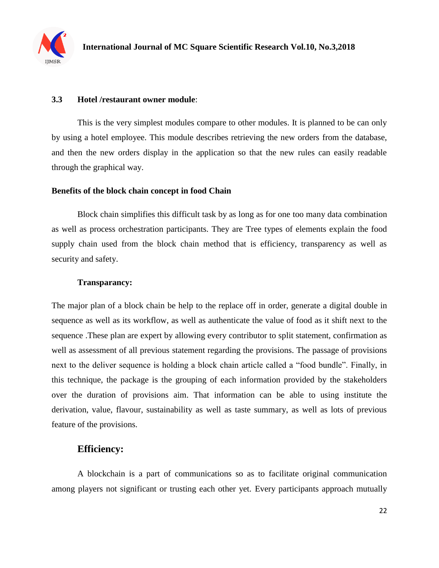

#### **3.3 Hotel /restaurant owner module**:

This is the very simplest modules compare to other modules. It is planned to be can only by using a hotel employee. This module describes retrieving the new orders from the database, and then the new orders display in the application so that the new rules can easily readable through the graphical way.

#### **Benefits of the block chain concept in food Chain**

Block chain simplifies this difficult task by as long as for one too many data combination as well as process orchestration participants. They are Tree types of elements explain the food supply chain used from the block chain method that is efficiency, transparency as well as security and safety.

#### **Transparancy:**

The major plan of a block chain be help to the replace off in order, generate a digital double in sequence as well as its workflow, as well as authenticate the value of food as it shift next to the sequence .These plan are expert by allowing every contributor to split statement, confirmation as well as assessment of all previous statement regarding the provisions. The passage of provisions next to the deliver sequence is holding a block chain article called a "food bundle". Finally, in this technique, the package is the grouping of each information provided by the stakeholders over the duration of provisions aim. That information can be able to using institute the derivation, value, flavour, sustainability as well as taste summary, as well as lots of previous feature of the provisions.

## **Efficiency:**

A blockchain is a part of communications so as to facilitate original communication among players not significant or trusting each other yet. Every participants approach mutually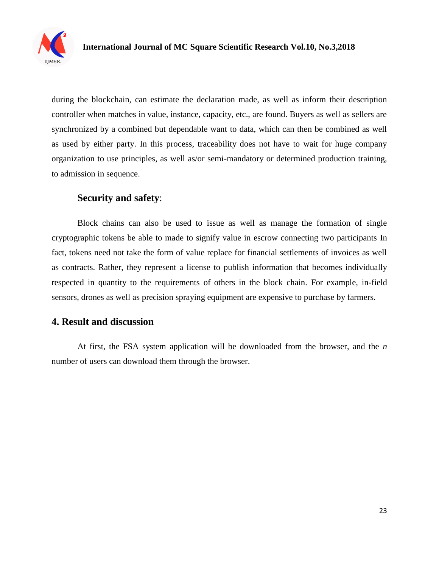

during the blockchain, can estimate the declaration made, as well as inform their description controller when matches in value, instance, capacity, etc., are found. Buyers as well as sellers are synchronized by a combined but dependable want to data, which can then be combined as well as used by either party. In this process, traceability does not have to wait for huge company organization to use principles, as well as/or semi-mandatory or determined production training, to admission in sequence.

## **Security and safety**:

Block chains can also be used to issue as well as manage the formation of single cryptographic tokens be able to made to signify value in escrow connecting two participants In fact, tokens need not take the form of value replace for financial settlements of invoices as well as contracts. Rather, they represent a license to publish information that becomes individually respected in quantity to the requirements of others in the block chain. For example, in-field sensors, drones as well as precision spraying equipment are expensive to purchase by farmers.

## **4. Result and discussion**

At first, the FSA system application will be downloaded from the browser, and the *n* number of users can download them through the browser.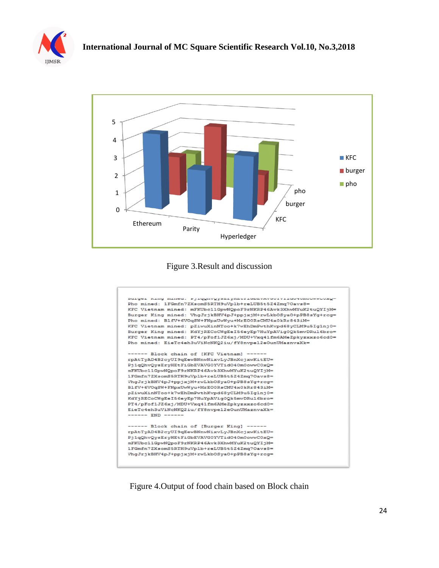



Figure 3.Result and discussion



Figure 4.Output of food chain based on Block chain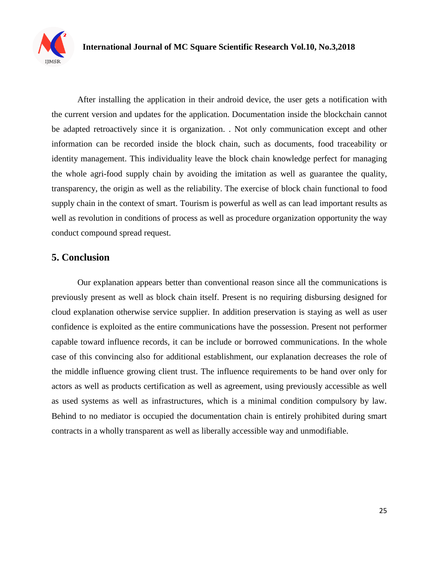

After installing the application in their android device, the user gets a notification with the current version and updates for the application. Documentation inside the blockchain cannot be adapted retroactively since it is organization. . Not only communication except and other information can be recorded inside the block chain, such as documents, food traceability or identity management. This individuality leave the block chain knowledge perfect for managing the whole agri-food supply chain by avoiding the imitation as well as guarantee the quality, transparency, the origin as well as the reliability. The exercise of block chain functional to food supply chain in the context of smart. Tourism is powerful as well as can lead important results as well as revolution in conditions of process as well as procedure organization opportunity the way conduct compound spread request.

# **5. Conclusion**

Our explanation appears better than conventional reason since all the communications is previously present as well as block chain itself. Present is no requiring disbursing designed for cloud explanation otherwise service supplier. In addition preservation is staying as well as user confidence is exploited as the entire communications have the possession. Present not performer capable toward influence records, it can be include or borrowed communications. In the whole case of this convincing also for additional establishment, our explanation decreases the role of the middle influence growing client trust. The influence requirements to be hand over only for actors as well as products certification as well as agreement, using previously accessible as well as used systems as well as infrastructures, which is a minimal condition compulsory by law. Behind to no mediator is occupied the documentation chain is entirely prohibited during smart contracts in a wholly transparent as well as liberally accessible way and unmodifiable.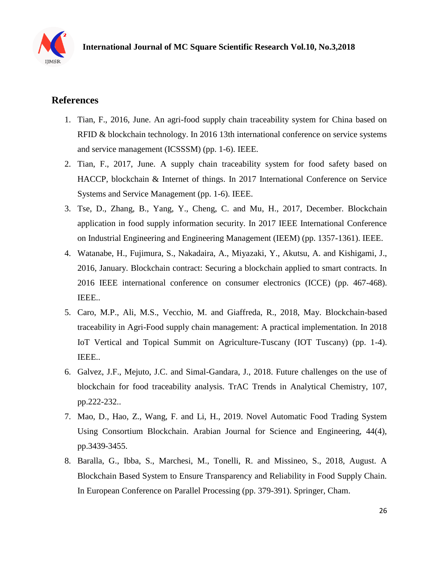

# **References**

- 1. Tian, F., 2016, June. An agri-food supply chain traceability system for China based on RFID & blockchain technology. In 2016 13th international conference on service systems and service management (ICSSSM) (pp. 1-6). IEEE.
- 2. Tian, F., 2017, June. A supply chain traceability system for food safety based on HACCP, blockchain & Internet of things. In 2017 International Conference on Service Systems and Service Management (pp. 1-6). IEEE.
- 3. Tse, D., Zhang, B., Yang, Y., Cheng, C. and Mu, H., 2017, December. Blockchain application in food supply information security. In 2017 IEEE International Conference on Industrial Engineering and Engineering Management (IEEM) (pp. 1357-1361). IEEE.
- 4. Watanabe, H., Fujimura, S., Nakadaira, A., Miyazaki, Y., Akutsu, A. and Kishigami, J., 2016, January. Blockchain contract: Securing a blockchain applied to smart contracts. In 2016 IEEE international conference on consumer electronics (ICCE) (pp. 467-468). IEEE..
- 5. Caro, M.P., Ali, M.S., Vecchio, M. and Giaffreda, R., 2018, May. Blockchain-based traceability in Agri-Food supply chain management: A practical implementation. In 2018 IoT Vertical and Topical Summit on Agriculture-Tuscany (IOT Tuscany) (pp. 1-4). IEEE..
- 6. Galvez, J.F., Mejuto, J.C. and Simal-Gandara, J., 2018. Future challenges on the use of blockchain for food traceability analysis. TrAC Trends in Analytical Chemistry, 107, pp.222-232..
- 7. Mao, D., Hao, Z., Wang, F. and Li, H., 2019. Novel Automatic Food Trading System Using Consortium Blockchain. Arabian Journal for Science and Engineering, 44(4), pp.3439-3455.
- 8. Baralla, G., Ibba, S., Marchesi, M., Tonelli, R. and Missineo, S., 2018, August. A Blockchain Based System to Ensure Transparency and Reliability in Food Supply Chain. In European Conference on Parallel Processing (pp. 379-391). Springer, Cham.